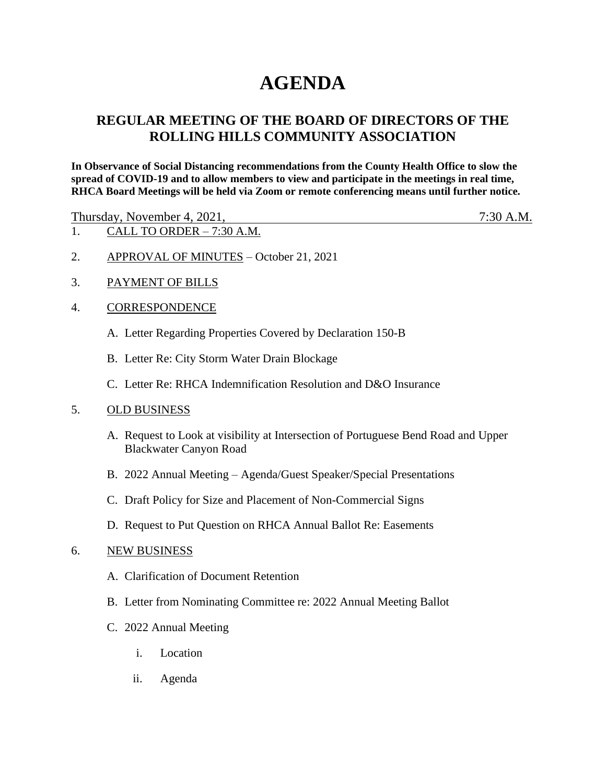# **AGENDA**

# **REGULAR MEETING OF THE BOARD OF DIRECTORS OF THE ROLLING HILLS COMMUNITY ASSOCIATION**

**In Observance of Social Distancing recommendations from the County Health Office to slow the spread of COVID-19 and to allow members to view and participate in the meetings in real time, RHCA Board Meetings will be held via Zoom or remote conferencing means until further notice.** 

Thursday, November 4, 2021, 7:30 A.M.

- 1. CALL TO ORDER 7:30 A.M.
- 2. APPROVAL OF MINUTES October 21, 2021
- 3. PAYMENT OF BILLS

## 4. CORRESPONDENCE

- A. Letter Regarding Properties Covered by Declaration 150-B
- B. Letter Re: City Storm Water Drain Blockage
- C. Letter Re: RHCA Indemnification Resolution and D&O Insurance

### 5. OLD BUSINESS

- A. Request to Look at visibility at Intersection of Portuguese Bend Road and Upper Blackwater Canyon Road
- B. 2022 Annual Meeting Agenda/Guest Speaker/Special Presentations
- C. Draft Policy for Size and Placement of Non-Commercial Signs
- D. Request to Put Question on RHCA Annual Ballot Re: Easements

### 6. NEW BUSINESS

- A. Clarification of Document Retention
- B. Letter from Nominating Committee re: 2022 Annual Meeting Ballot
- C. 2022 Annual Meeting
	- i. Location
	- ii. Agenda